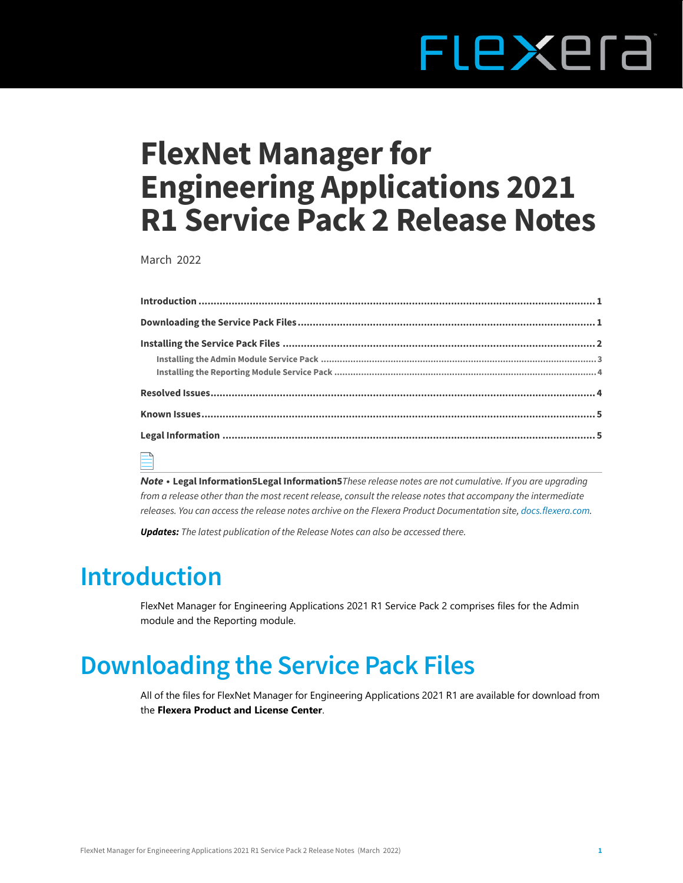# FLEXEra

# **FlexNet Manager for Engineering Applications 2021 R1 Service Pack 2 Release Notes**

March 2022

| $\Box$ |  |  |  |
|--------|--|--|--|

*Note •* **[Legal Information5Legal Information5](#page-5-0)***These release notes are not cumulative. If you are upgrading from a release other than the most recent release, consult the release notes that accompany the intermediate releases. You can access the release notes archive on the Flexera Product Documentation site, [docs.flexera.com.](https://helpnet.flexerasoftware.com/?product=FlexNet%20Manager%20for%20Engineering%20Applications)*

*Updates: The latest publication of the Release Notes can also be accessed there.*

## <span id="page-0-0"></span>**Introduction**

FlexNet Manager for Engineering Applications 2021 R1 Service Pack 2 comprises files for the Admin module and the Reporting module.

## <span id="page-0-1"></span>**Downloading the Service Pack Files**

All of the files for FlexNet Manager for Engineering Applications 2021 R1 are available for download from the **Flexera Product and License Center**.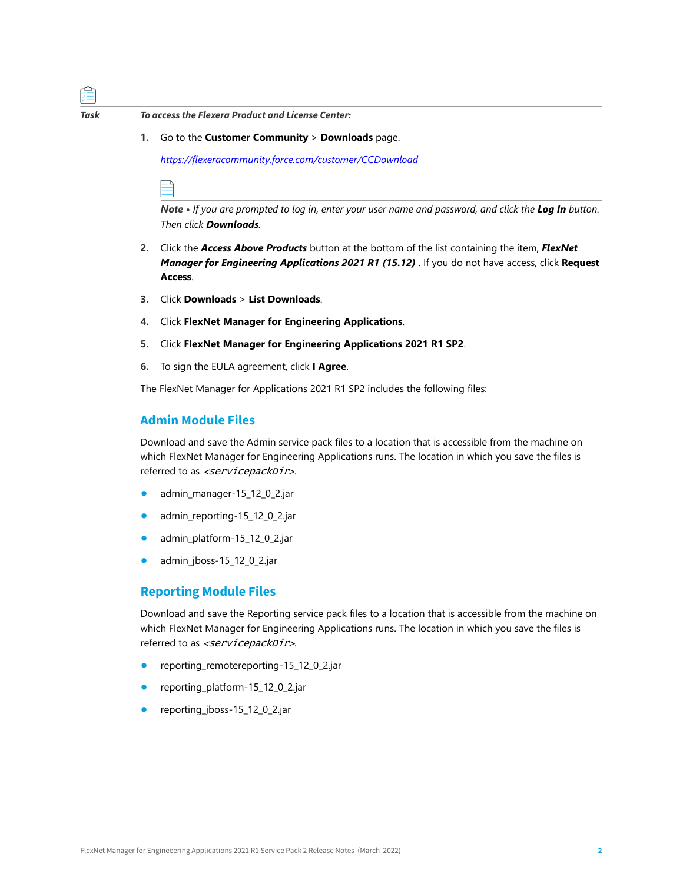

*Task To access the Flexera Product and License Center:*

**1.** Go to the **Customer Community** > **Downloads** page.

*[https://flexeracommunity.force.com/customer/CCDownload](https://flexeracommunity.force.com/customer/CCDownload )*

*Note • If you are prompted to log in, enter your user name and password, and click the Log In button. Then click Downloads.* 

- **2.** Click the *Access Above Products* button at the bottom of the list containing the item, *FlexNet Manager for Engineering Applications 2021 R1 (15.12)* . If you do not have access, click **Request Access**.
- **3.** Click **Downloads** > **List Downloads**.
- **4.** Click **FlexNet Manager for Engineering Applications**.
- **5.** Click **FlexNet Manager for Engineering Applications 2021 R1 SP2**.
- **6.** To sign the EULA agreement, click **I Agree**.

The FlexNet Manager for Applications 2021 R1 SP2 includes the following files:

#### **Admin Module Files**

Download and save the Admin service pack files to a location that is accessible from the machine on which FlexNet Manager for Engineering Applications runs. The location in which you save the files is referred to as <servicepackDir>.

- **•** admin\_manager-15\_12\_0\_2.jar
- **•** admin\_reporting-15\_12\_0\_2.jar
- **•** admin\_platform-15\_12\_0\_2.jar
- **•** admin\_jboss-15\_12\_0\_2.jar

#### **Reporting Module Files**

Download and save the Reporting service pack files to a location that is accessible from the machine on which FlexNet Manager for Engineering Applications runs. The location in which you save the files is referred to as <servicepackDir>.

- **•** reporting\_remotereporting-15\_12\_0\_2.jar
- **•** reporting\_platform-15\_12\_0\_2.jar
- **•** reporting\_jboss-15\_12\_0\_2.jar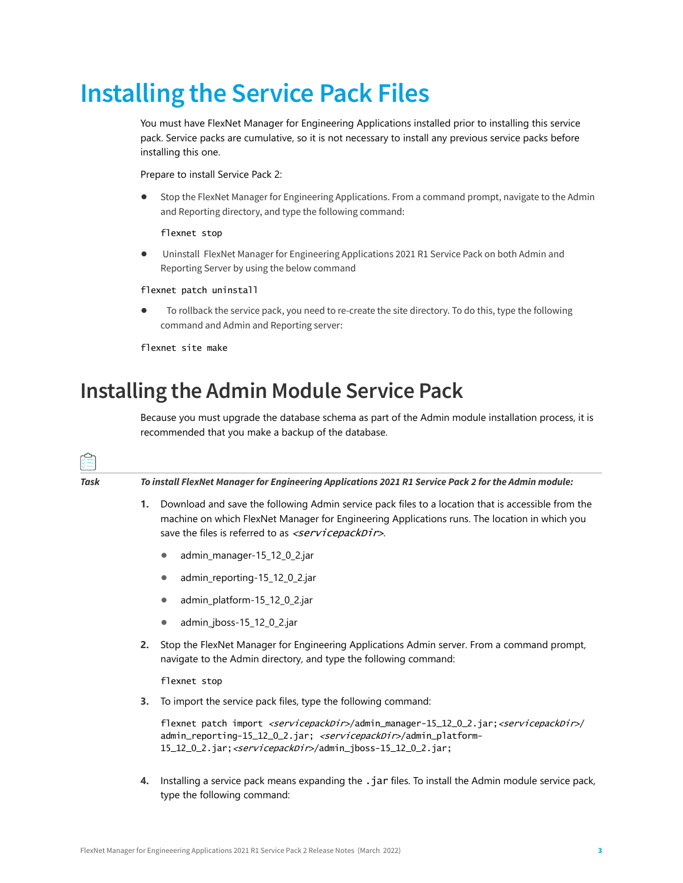## <span id="page-2-0"></span>**Installing the Service Pack Files**

You must have FlexNet Manager for Engineering Applications installed prior to installing this service pack. Service packs are cumulative, so it is not necessary to install any previous service packs before installing this one.

Prepare to install Service Pack 2:

**•** Stop the FlexNet Manager for Engineering Applications. From a command prompt, navigate to the Admin and Reporting directory, and type the following command:

flexnet stop

**•** Uninstall FlexNet Manager for Engineering Applications 2021 R1 Service Pack on both Admin and Reporting Server by using the below command

flexnet patch uninstall

**•** To rollback the service pack, you need to re-create the site directory. To do this, type the following command and Admin and Reporting server:

flexnet site make

### <span id="page-2-1"></span>**Installing the Admin Module Service Pack**

Because you must upgrade the database schema as part of the Admin module installation process, it is recommended that you make a backup of the database.

| 꼊    |                                                                                                      |                                                                                                                                                                                                                                                                                            |  |  |
|------|------------------------------------------------------------------------------------------------------|--------------------------------------------------------------------------------------------------------------------------------------------------------------------------------------------------------------------------------------------------------------------------------------------|--|--|
| Task | To install FlexNet Manager for Engineering Applications 2021 R1 Service Pack 2 for the Admin module: |                                                                                                                                                                                                                                                                                            |  |  |
|      | 1.                                                                                                   | Download and save the following Admin service pack files to a location that is accessible from the<br>machine on which FlexNet Manager for Engineering Applications runs. The location in which you<br>save the files is referred to as <servicepackdir>.</servicepackdir>                 |  |  |
|      |                                                                                                      | admin_manager-15_12_0_2.jar<br>$\bullet$                                                                                                                                                                                                                                                   |  |  |
|      |                                                                                                      | admin_reporting-15_12_0_2.jar<br>$\bullet$                                                                                                                                                                                                                                                 |  |  |
|      |                                                                                                      | admin_platform-15_12_0_2.jar<br>$\bullet$                                                                                                                                                                                                                                                  |  |  |
|      |                                                                                                      | admin_jboss-15_12_0_2.jar<br>$\bullet$                                                                                                                                                                                                                                                     |  |  |
|      | 2.                                                                                                   | Stop the FlexNet Manager for Engineering Applications Admin server. From a command prompt,<br>navigate to the Admin directory, and type the following command:                                                                                                                             |  |  |
|      |                                                                                                      | flexnet stop                                                                                                                                                                                                                                                                               |  |  |
|      | 3.                                                                                                   | To import the service pack files, type the following command:                                                                                                                                                                                                                              |  |  |
|      |                                                                                                      | flexnet patch import <servicepackdir>/admin_manager-15_12_0_2.jar;<servicepackdir>/<br/>admin_reporting-15_12_0_2.jar; <servicepackdir>/admin_platform-<br/>15_12_0_2.jar; <servicepackdir>/admin_jboss-15_12_0_2.jar;</servicepackdir></servicepackdir></servicepackdir></servicepackdir> |  |  |
|      | 4.                                                                                                   | Installing a service pack means expanding the .jar files. To install the Admin module service pack,                                                                                                                                                                                        |  |  |

type the following command: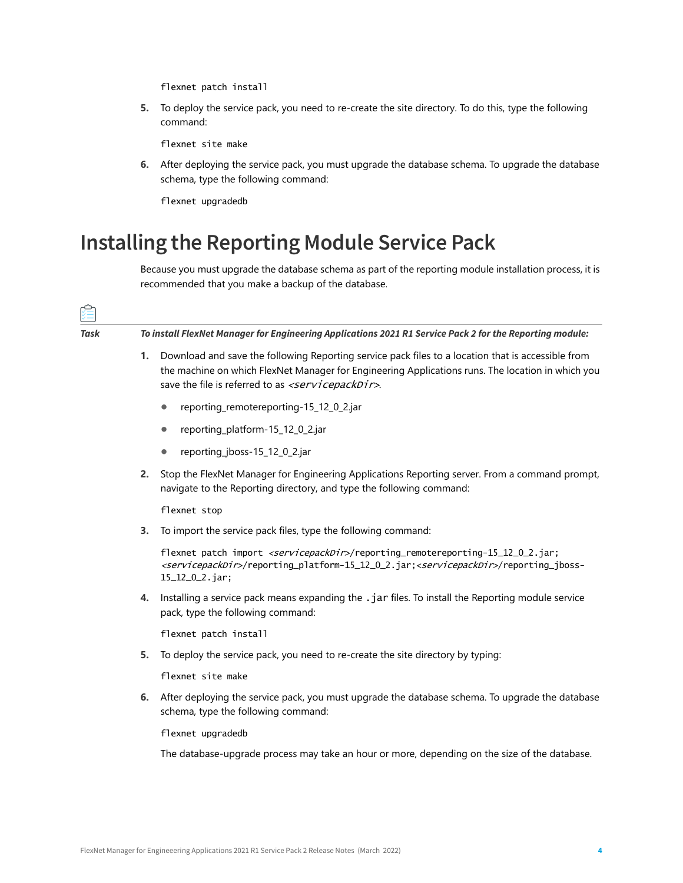flexnet patch install

**5.** To deploy the service pack, you need to re-create the site directory. To do this, type the following command:

flexnet site make

**6.** After deploying the service pack, you must upgrade the database schema. To upgrade the database schema, type the following command:

flexnet upgradedb

#### <span id="page-3-0"></span>**Installing the Reporting Module Service Pack**

Because you must upgrade the database schema as part of the reporting module installation process, it is recommended that you make a backup of the database.

| Task | To install FlexNet Manager for Engineering Applications 2021 R1 Service Pack 2 for the Reporting module: |                                                                                                                                                                                                                                                                               |  |  |  |
|------|----------------------------------------------------------------------------------------------------------|-------------------------------------------------------------------------------------------------------------------------------------------------------------------------------------------------------------------------------------------------------------------------------|--|--|--|
|      | 1.                                                                                                       | Download and save the following Reporting service pack files to a location that is accessible from<br>the machine on which FlexNet Manager for Engineering Applications runs. The location in which you<br>save the file is referred to as <servicepackdir>.</servicepackdir> |  |  |  |
|      |                                                                                                          | reporting_remotereporting-15_12_0_2.jar<br>$\bullet$                                                                                                                                                                                                                          |  |  |  |
|      |                                                                                                          | reporting_platform-15_12_0_2.jar<br>$\bullet$                                                                                                                                                                                                                                 |  |  |  |
|      |                                                                                                          | reporting_jboss-15_12_0_2.jar<br>$\bullet$                                                                                                                                                                                                                                    |  |  |  |
|      | 2.                                                                                                       | Stop the FlexNet Manager for Engineering Applications Reporting server. From a command prompt,<br>navigate to the Reporting directory, and type the following command:                                                                                                        |  |  |  |
|      |                                                                                                          | flexnet stop                                                                                                                                                                                                                                                                  |  |  |  |
|      | 3.                                                                                                       | To import the service pack files, type the following command:                                                                                                                                                                                                                 |  |  |  |
|      |                                                                                                          | flexnet patch import <servicepackdir>/reporting_remotereporting-15_12_0_2.jar;<br/><servicepackdir>/reporting_platform-15_12_0_2.jar;<servicepackdir>/reporting_jboss-<br/>15_12_0_2.jar;</servicepackdir></servicepackdir></servicepackdir>                                  |  |  |  |
|      | 4.                                                                                                       | Installing a service pack means expanding the . jar files. To install the Reporting module service<br>pack, type the following command:                                                                                                                                       |  |  |  |
|      |                                                                                                          | flexnet patch install                                                                                                                                                                                                                                                         |  |  |  |
|      | 5.                                                                                                       | To deploy the service pack, you need to re-create the site directory by typing:                                                                                                                                                                                               |  |  |  |
|      |                                                                                                          | flexnet site make                                                                                                                                                                                                                                                             |  |  |  |
|      | 6.                                                                                                       | After deploying the service pack, you must upgrade the database schema. To upgrade the database<br>schema, type the following command:                                                                                                                                        |  |  |  |
|      |                                                                                                          | flexnet upgradedb                                                                                                                                                                                                                                                             |  |  |  |
|      |                                                                                                          | The database-upgrade process may take an hour or more, depending on the size of the database.                                                                                                                                                                                 |  |  |  |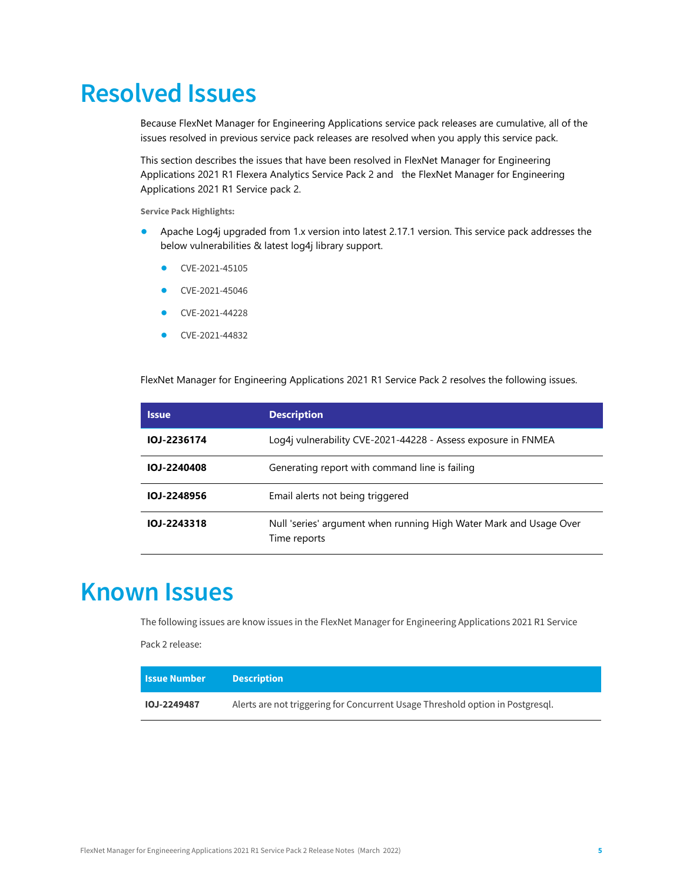## <span id="page-4-0"></span>**Resolved Issues**

Because FlexNet Manager for Engineering Applications service pack releases are cumulative, all of the issues resolved in previous service pack releases are resolved when you apply this service pack.

This section describes the issues that have been resolved in FlexNet Manager for Engineering Applications 2021 R1 Flexera Analytics Service Pack 2 and the FlexNet Manager for Engineering Applications 2021 R1 Service pack 2.

**Service Pack Highlights:**

- **•** Apache Log4j upgraded from 1.x version into latest 2.17.1 version. This service pack addresses the below vulnerabilities & latest log4j library support.
	- **•** [CVE-2021-45105](https://cve.mitre.org/cgi-bin/cvename.cgi?name=CVE-2021-45105)
	- **•** [CVE-2021-45046](https://cve.mitre.org/cgi-bin/cvename.cgi?name=CVE-2021-45046)
	- **•** [CVE-2021-44228](https://cve.mitre.org/cgi-bin/cvename.cgi?name=CVE-2021-44228)
	- **•** [CVE-2021-44832](https://cve.mitre.org/cgi-bin/cvekey.cgi?keyword=CVE-2021-44832)

FlexNet Manager for Engineering Applications 2021 R1 Service Pack 2 resolves the following issues.

| <b>Issue</b> | <b>Description</b>                                                                 |
|--------------|------------------------------------------------------------------------------------|
| 10J-2236174  | Log4j vulnerability CVE-2021-44228 - Assess exposure in FNMEA                      |
| IOJ-2240408  | Generating report with command line is failing                                     |
| IOJ-2248956  | Email alerts not being triggered                                                   |
| IOJ-2243318  | Null 'series' argument when running High Water Mark and Usage Over<br>Time reports |

## <span id="page-4-1"></span>**Known Issues**

The following issues are know issues in the FlexNet Manager for Engineering Applications 2021 R1 Service

Pack 2 release:

| <b>Issue Number</b> | <b>Description</b>                                                             |
|---------------------|--------------------------------------------------------------------------------|
| <b>IOJ-2249487</b>  | Alerts are not triggering for Concurrent Usage Threshold option in Postgresql. |